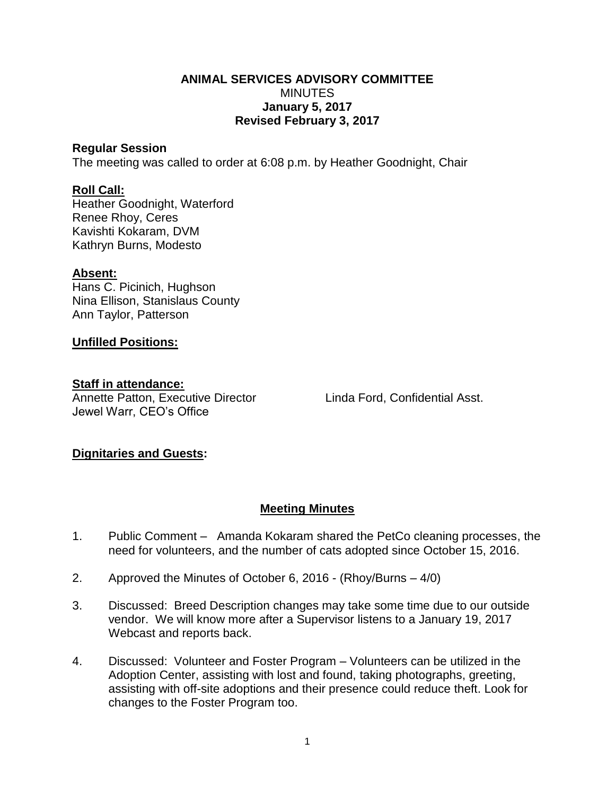#### **ANIMAL SERVICES ADVISORY COMMITTEE MINUTES January 5, 2017 Revised February 3, 2017**

#### **Regular Session**

The meeting was called to order at 6:08 p.m. by Heather Goodnight, Chair

## **Roll Call:**

Heather Goodnight, Waterford Renee Rhoy, Ceres Kavishti Kokaram, DVM Kathryn Burns, Modesto

## **Absent:**

Hans C. Picinich, Hughson Nina Ellison, Stanislaus County Ann Taylor, Patterson

## **Unfilled Positions:**

#### **Staff in attendance:**

Annette Patton, Executive Director Linda Ford, Confidential Asst. Jewel Warr, CEO's Office

# **Dignitaries and Guests:**

# **Meeting Minutes**

- 1. Public Comment Amanda Kokaram shared the PetCo cleaning processes, the need for volunteers, and the number of cats adopted since October 15, 2016.
- 2. Approved the Minutes of October 6, 2016 (Rhoy/Burns 4/0)
- 3. Discussed: Breed Description changes may take some time due to our outside vendor. We will know more after a Supervisor listens to a January 19, 2017 Webcast and reports back.
- 4. Discussed: Volunteer and Foster Program Volunteers can be utilized in the Adoption Center, assisting with lost and found, taking photographs, greeting, assisting with off-site adoptions and their presence could reduce theft. Look for changes to the Foster Program too.